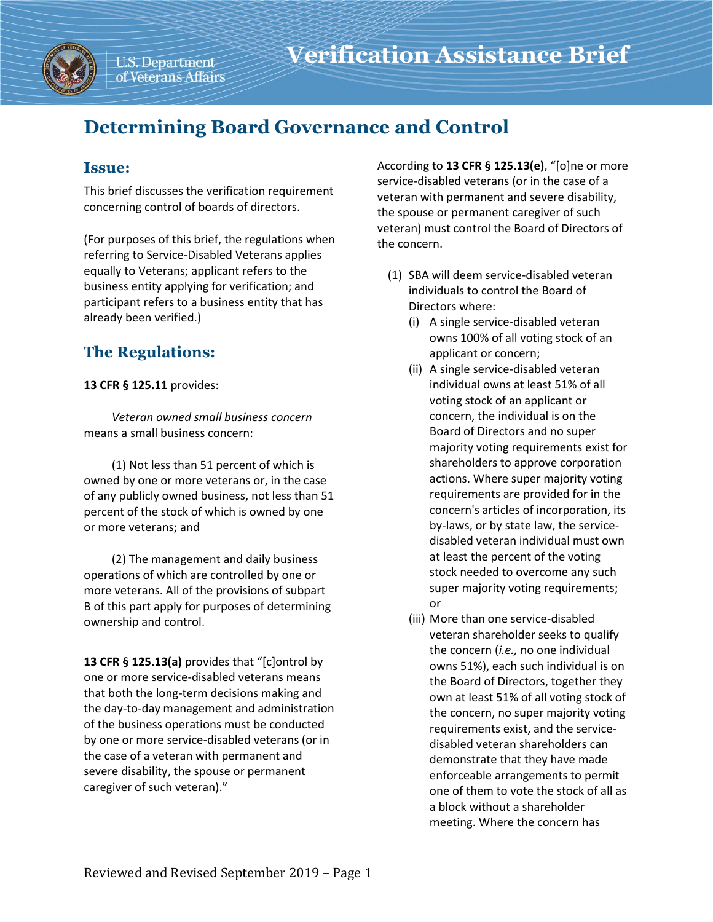

# **Determining Board Governance and Control**

## **Issue:**

This brief discusses the verification requirement concerning control of boards of directors.

(For purposes of this brief, the regulations when referring to Service-Disabled Veterans applies equally to Veterans; applicant refers to the business entity applying for verification; and participant refers to a business entity that has already been verified.)

# **The Regulations:**

### **13 CFR § 125.11** provides:

*Veteran owned small business concern* means a small business concern:

(1) Not less than 51 percent of which is owned by one or more veterans or, in the case of any publicly owned business, not less than 51 percent of the stock of which is owned by one or more veterans; and

(2) The management and daily business operations of which are controlled by one or more veterans. All of the provisions of subpart B of this part apply for purposes of determining ownership and control.

**13 CFR § 125.13(a)** provides that "[c]ontrol by one or more service-disabled veterans means that both the long-term decisions making and the day-to-day management and administration of the business operations must be conducted by one or more service-disabled veterans (or in the case of a veteran with permanent and severe disability, the spouse or permanent caregiver of such veteran)."

According to **13 CFR § 125.13(e)**, "[o]ne or more service-disabled veterans (or in the case of a veteran with permanent and severe disability, the spouse or permanent caregiver of such veteran) must control the Board of Directors of the concern.

- (1) SBA will deem service-disabled veteran individuals to control the Board of Directors where:
	- (i) A single service-disabled veteran owns 100% of all voting stock of an applicant or concern;
	- (ii) A single service-disabled veteran individual owns at least 51% of all voting stock of an applicant or concern, the individual is on the Board of Directors and no super majority voting requirements exist for shareholders to approve corporation actions. Where super majority voting requirements are provided for in the concern's articles of incorporation, its by-laws, or by state law, the servicedisabled veteran individual must own at least the percent of the voting stock needed to overcome any such super majority voting requirements; or
	- (iii) More than one service-disabled veteran shareholder seeks to qualify the concern (*i.e.,* no one individual owns 51%), each such individual is on the Board of Directors, together they own at least 51% of all voting stock of the concern, no super majority voting requirements exist, and the servicedisabled veteran shareholders can demonstrate that they have made enforceable arrangements to permit one of them to vote the stock of all as a block without a shareholder meeting. Where the concern has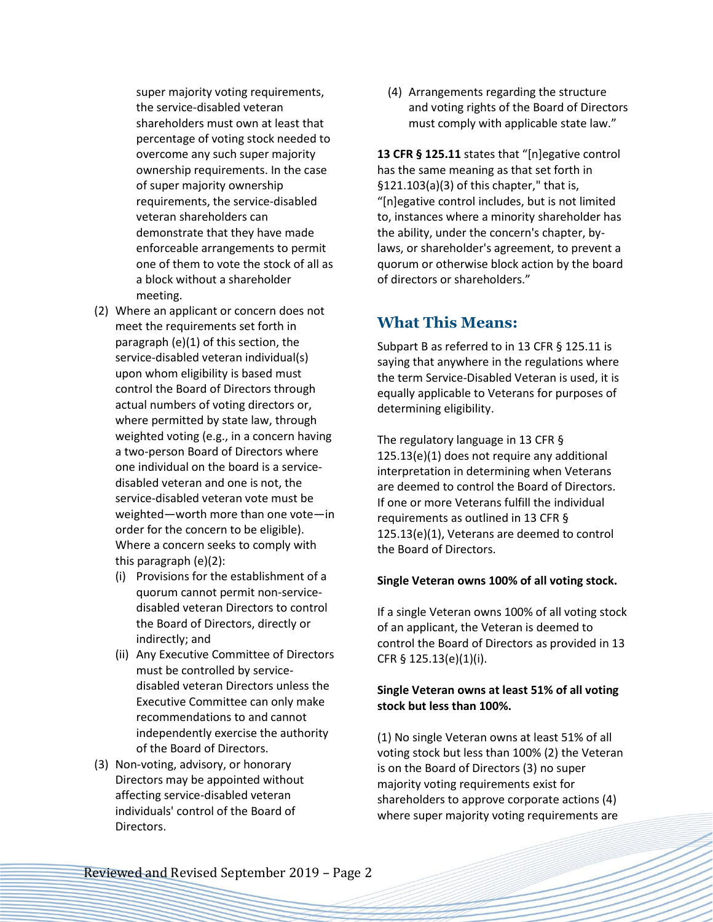super majority voting requirements, the service-disabled veteran shareholders must own at least that percentage of voting stock needed to overcome any such super majority ownership requirements. In the case of super majority ownership requirements, the service-disabled veteran shareholders can demonstrate that they have made enforceable arrangements to permit one of them to vote the stock of all as a block without a shareholder meeting.

- (2) Where an applicant or concern does not meet the requirements set forth in paragraph (e)(1) of this section, the service-disabled veteran individual(s) upon whom eligibility is based must control the Board of Directors through actual numbers of voting directors or, where permitted by state law, through weighted voting (e.g., in a concern having a two-person Board of Directors where one individual on the board is a servicedisabled veteran and one is not, the service-disabled veteran vote must be weighted—worth more than one vote—in order for the concern to be eligible). Where a concern seeks to comply with this paragraph (e)(2):
	- (i) Provisions for the establishment of a quorum cannot permit non-servicedisabled veteran Directors to control the Board of Directors, directly or indirectly; and
	- (ii) Any Executive Committee of Directors must be controlled by servicedisabled veteran Directors unless the Executive Committee can only make recommendations to and cannot independently exercise the authority of the Board of Directors.
- (3) Non-voting, advisory, or honorary Directors may be appointed without affecting service-disabled veteran individuals' control of the Board of Directors.

(4) Arrangements regarding the structure and voting rights of the Board of Directors must comply with applicable state law."

**13 CFR § 125.11** states that "[n]egative control has the same meaning as that set forth in §121.103(a)(3) of this chapter," that is, "[n]egative control includes, but is not limited to, instances where a minority shareholder has the ability, under the concern's chapter, bylaws, or shareholder's agreement, to prevent a quorum or otherwise block action by the board of directors or shareholders."

### **What This Means:**

Subpart B as referred to in 13 CFR § 125.11 is saying that anywhere in the regulations where the term Service-Disabled Veteran is used, it is equally applicable to Veterans for purposes of determining eligibility.

The regulatory language in 13 CFR § 125.13(e)(1) does not require any additional interpretation in determining when Veterans are deemed to control the Board of Directors. If one or more Veterans fulfill the individual requirements as outlined in 13 CFR § 125.13(e)(1), Veterans are deemed to control the Board of Directors.

### **Single Veteran owns 100% of all voting stock.**

If a single Veteran owns 100% of all voting stock of an applicant, the Veteran is deemed to control the Board of Directors as provided in 13 CFR § 125.13(e)(1)(i).

### **Single Veteran owns at least 51% of all voting stock but less than 100%.**

(1) No single Veteran owns at least 51% of all voting stock but less than 100% (2) the Veteran is on the Board of Directors (3) no super majority voting requirements exist for shareholders to approve corporate actions (4) where super majority voting requirements are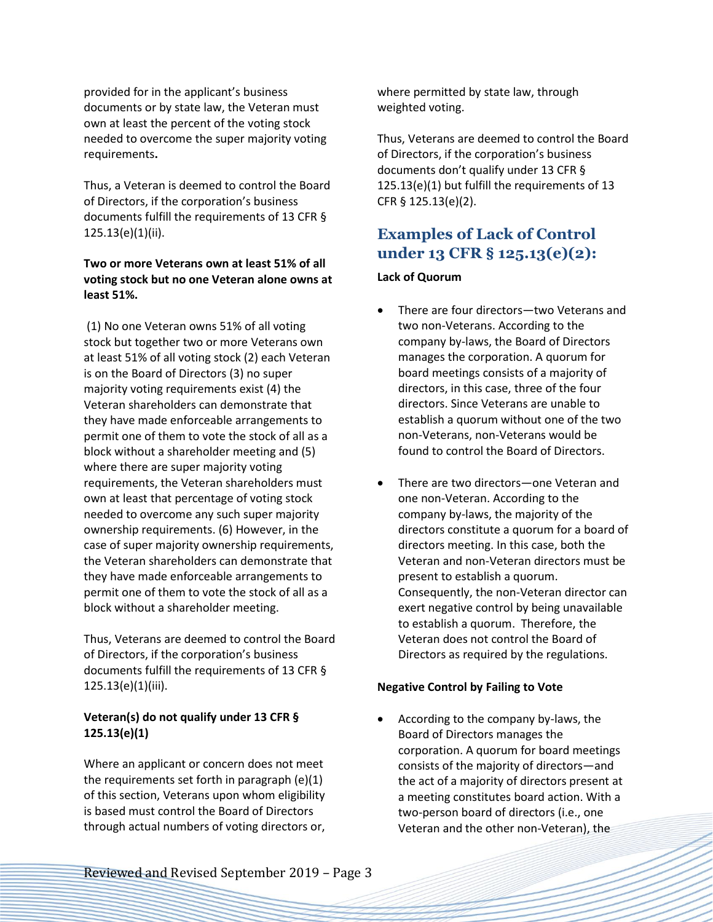provided for in the applicant's business documents or by state law, the Veteran must own at least the percent of the voting stock needed to overcome the super majority voting requirements**.** 

Thus, a Veteran is deemed to control the Board of Directors, if the corporation's business documents fulfill the requirements of 13 CFR § 125.13(e)(1)(ii).

### **Two or more Veterans own at least 51% of all voting stock but no one Veteran alone owns at least 51%.**

(1) No one Veteran owns 51% of all voting stock but together two or more Veterans own at least 51% of all voting stock (2) each Veteran is on the Board of Directors (3) no super majority voting requirements exist (4) the Veteran shareholders can demonstrate that they have made enforceable arrangements to permit one of them to vote the stock of all as a block without a shareholder meeting and (5) where there are super majority voting requirements, the Veteran shareholders must own at least that percentage of voting stock needed to overcome any such super majority ownership requirements. (6) However, in the case of super majority ownership requirements, the Veteran shareholders can demonstrate that they have made enforceable arrangements to permit one of them to vote the stock of all as a block without a shareholder meeting.

Thus, Veterans are deemed to control the Board of Directors, if the corporation's business documents fulfill the requirements of 13 CFR § 125.13(e)(1)(iii).

### **Veteran(s) do not qualify under 13 CFR § 125.13(e)(1)**

Where an applicant or concern does not meet the requirements set forth in paragraph (e)(1) of this section, Veterans upon whom eligibility is based must control the Board of Directors through actual numbers of voting directors or,

where permitted by state law, through weighted voting.

Thus, Veterans are deemed to control the Board of Directors, if the corporation's business documents don't qualify under 13 CFR § 125.13(e)(1) but fulfill the requirements of 13 CFR § 125.13(e)(2).

# **Examples of Lack of Control under 13 CFR § 125.13(e)(2):**

### **Lack of Quorum**

- There are four directors—two Veterans and two non-Veterans. According to the company by-laws, the Board of Directors manages the corporation. A quorum for board meetings consists of a majority of directors, in this case, three of the four directors. Since Veterans are unable to establish a quorum without one of the two non-Veterans, non-Veterans would be found to control the Board of Directors.
- There are two directors—one Veteran and one non-Veteran. According to the company by-laws, the majority of the directors constitute a quorum for a board of directors meeting. In this case, both the Veteran and non-Veteran directors must be present to establish a quorum. Consequently, the non-Veteran director can exert negative control by being unavailable to establish a quorum. Therefore, the Veteran does not control the Board of Directors as required by the regulations.

### **Negative Control by Failing to Vote**

• According to the company by-laws, the Board of Directors manages the corporation. A quorum for board meetings consists of the majority of directors—and the act of a majority of directors present at a meeting constitutes board action. With a two-person board of directors (i.e., one Veteran and the other non-Veteran), the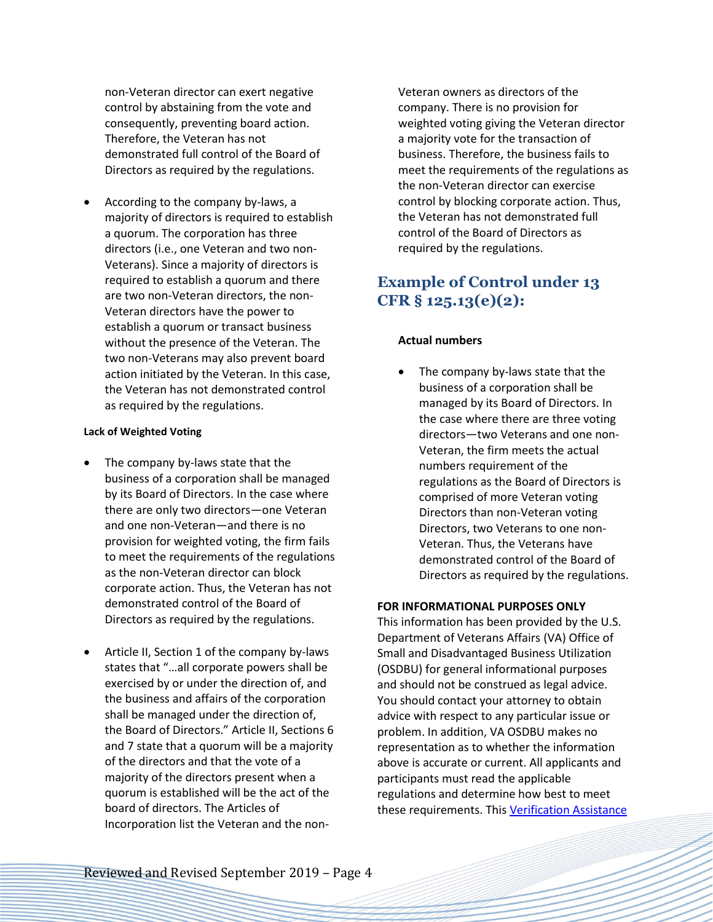non-Veteran director can exert negative control by abstaining from the vote and consequently, preventing board action. Therefore, the Veteran has not demonstrated full control of the Board of Directors as required by the regulations.

• According to the company by-laws, a majority of directors is required to establish a quorum. The corporation has three directors (i.e., one Veteran and two non-Veterans). Since a majority of directors is required to establish a quorum and there are two non-Veteran directors, the non-Veteran directors have the power to establish a quorum or transact business without the presence of the Veteran. The two non-Veterans may also prevent board action initiated by the Veteran. In this case, the Veteran has not demonstrated control as required by the regulations.

#### **Lack of Weighted Voting**

- The company by-laws state that the business of a corporation shall be managed by its Board of Directors. In the case where there are only two directors—one Veteran and one non-Veteran—and there is no provision for weighted voting, the firm fails to meet the requirements of the regulations as the non-Veteran director can block corporate action. Thus, the Veteran has not demonstrated control of the Board of Directors as required by the regulations.
- Article II, Section 1 of the company by-laws states that "…all corporate powers shall be exercised by or under the direction of, and the business and affairs of the corporation shall be managed under the direction of, the Board of Directors." Article II, Sections 6 and 7 state that a quorum will be a majority of the directors and that the vote of a majority of the directors present when a quorum is established will be the act of the board of directors. The Articles of Incorporation list the Veteran and the non-

Veteran owners as directors of the company. There is no provision for weighted voting giving the Veteran director a majority vote for the transaction of business. Therefore, the business fails to meet the requirements of the regulations as the non-Veteran director can exercise control by blocking corporate action. Thus, the Veteran has not demonstrated full control of the Board of Directors as required by the regulations.

# **Example of Control under 13 CFR § 125.13(e)(2):**

### **Actual numbers**

The company by-laws state that the business of a corporation shall be managed by its Board of Directors. In the case where there are three voting directors—two Veterans and one non-Veteran, the firm meets the actual numbers requirement of the regulations as the Board of Directors is comprised of more Veteran voting Directors than non-Veteran voting Directors, two Veterans to one non-Veteran. Thus, the Veterans have demonstrated control of the Board of Directors as required by the regulations.

#### **FOR INFORMATIONAL PURPOSES ONLY**

This information has been provided by the U.S. Department of Veterans Affairs (VA) Office of Small and Disadvantaged Business Utilization (OSDBU) for general informational purposes and should not be construed as legal advice. You should contact your attorney to obtain advice with respect to any particular issue or problem. In addition, VA OSDBU makes no representation as to whether the information above is accurate or current. All applicants and participants must read the applicable regulations and determine how best to meet these requirements. This Verification Assistance